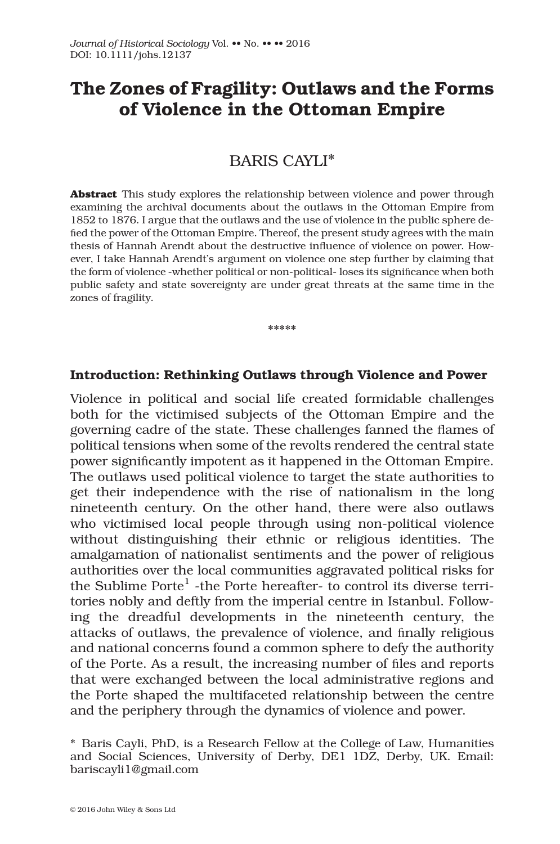# The Zones of Fragility: Outlaws and the Forms of Violence in the Ottoman Empire

# BARIS CAYLI\*

Abstract This study explores the relationship between violence and power through examining the archival documents about the outlaws in the Ottoman Empire from 1852 to 1876. I argue that the outlaws and the use of violence in the public sphere defied the power of the Ottoman Empire. Thereof, the present study agrees with the main thesis of Hannah Arendt about the destructive influence of violence on power. However, I take Hannah Arendt's argument on violence one step further by claiming that the form of violence -whether political or non-political- loses its significance when both public safety and state sovereignty are under great threats at the same time in the zones of fragility.

\*\*\*\*\*

#### Introduction: Rethinking Outlaws through Violence and Power

Violence in political and social life created formidable challenges both for the victimised subjects of the Ottoman Empire and the governing cadre of the state. These challenges fanned the flames of political tensions when some of the revolts rendered the central state power significantly impotent as it happened in the Ottoman Empire. The outlaws used political violence to target the state authorities to get their independence with the rise of nationalism in the long nineteenth century. On the other hand, there were also outlaws who victimised local people through using non-political violence without distinguishing their ethnic or religious identities. The amalgamation of nationalist sentiments and the power of religious authorities over the local communities aggravated political risks for the Sublime Porte<sup>1</sup> -the Porte hereafter- to control its diverse territories nobly and deftly from the imperial centre in Istanbul. Following the dreadful developments in the nineteenth century, the attacks of outlaws, the prevalence of violence, and finally religious and national concerns found a common sphere to defy the authority of the Porte. As a result, the increasing number of files and reports that were exchanged between the local administrative regions and the Porte shaped the multifaceted relationship between the centre and the periphery through the dynamics of violence and power.

<sup>\*</sup> Baris Cayli, PhD, is a Research Fellow at the College of Law, Humanities and Social Sciences, University of Derby, DE1 1DZ, Derby, UK. Email: bariscayli1@gmail.com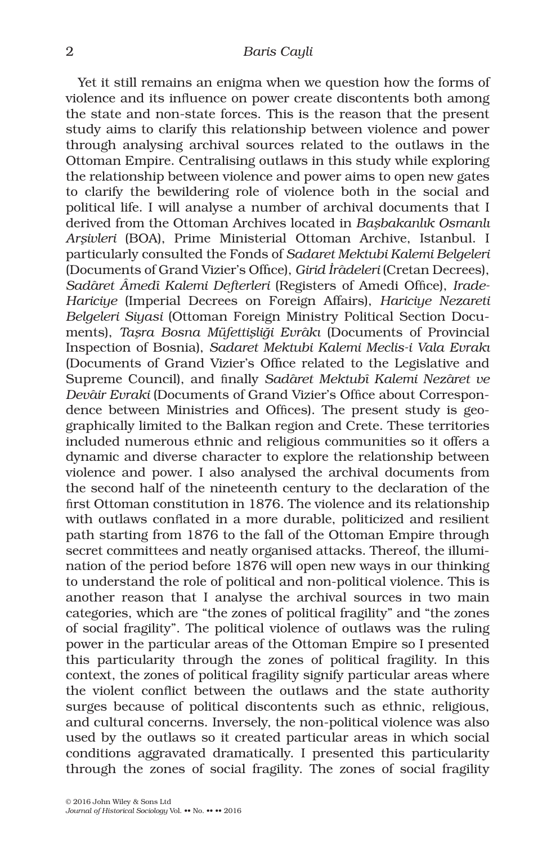Yet it still remains an enigma when we question how the forms of violence and its influence on power create discontents both among the state and non-state forces. This is the reason that the present study aims to clarify this relationship between violence and power through analysing archival sources related to the outlaws in the Ottoman Empire. Centralising outlaws in this study while exploring the relationship between violence and power aims to open new gates to clarify the bewildering role of violence both in the social and political life. I will analyse a number of archival documents that I derived from the Ottoman Archives located in Başbakanlık Osmanlı Arşivleri (BOA), Prime Ministerial Ottoman Archive, Istanbul. I particularly consulted the Fonds of Sadaret Mektubi Kalemi Belgeleri (Documents of Grand Vizier's Offıce), Girid İrâdeleri (Cretan Decrees), Sadâret Âmedî Kalemi Defterleri (Registers of Amedi Office), Irade-Hariciye (Imperial Decrees on Foreign Affairs), Hariciye Nezareti Belgeleri Siyasi (Ottoman Foreign Ministry Political Section Documents), Taşra Bosna Müfettişliği Evrâkı (Documents of Provincial Inspection of Bosnia), Sadaret Mektubi Kalemi Meclis-i Vala Evrakı (Documents of Grand Vizier's Offıce related to the Legislative and Supreme Council), and finally Sadâret Mektubî Kalemi Nezâret ve Devâir Evraki (Documents of Grand Vizier's Office about Correspondence between Ministries and Offices). The present study is geographically limited to the Balkan region and Crete. These territories included numerous ethnic and religious communities so it offers a dynamic and diverse character to explore the relationship between violence and power. I also analysed the archival documents from the second half of the nineteenth century to the declaration of the first Ottoman constitution in 1876. The violence and its relationship with outlaws conflated in a more durable, politicized and resilient path starting from 1876 to the fall of the Ottoman Empire through secret committees and neatly organised attacks. Thereof, the illumination of the period before 1876 will open new ways in our thinking to understand the role of political and non-political violence. This is another reason that I analyse the archival sources in two main categories, which are "the zones of political fragility" and "the zones of social fragility". The political violence of outlaws was the ruling power in the particular areas of the Ottoman Empire so I presented this particularity through the zones of political fragility. In this context, the zones of political fragility signify particular areas where the violent conflict between the outlaws and the state authority surges because of political discontents such as ethnic, religious, and cultural concerns. Inversely, the non-political violence was also used by the outlaws so it created particular areas in which social conditions aggravated dramatically. I presented this particularity through the zones of social fragility. The zones of social fragility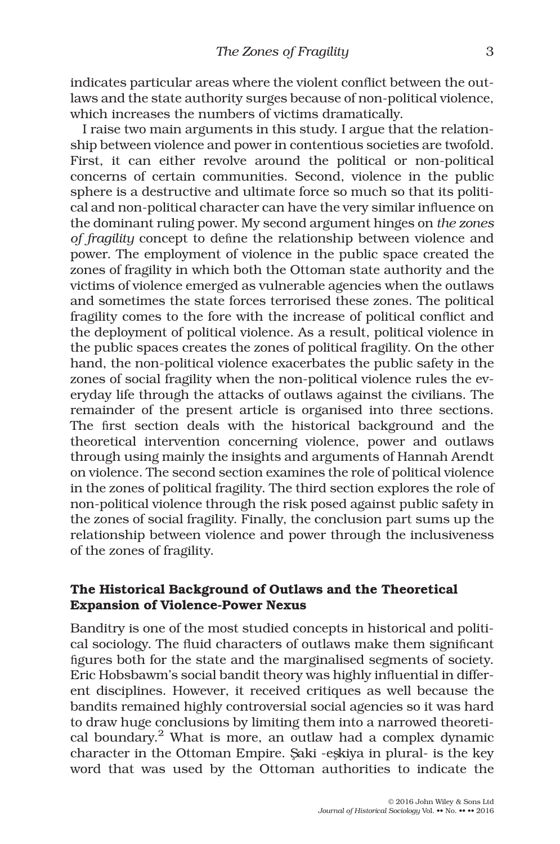indicates particular areas where the violent conflict between the outlaws and the state authority surges because of non-political violence, which increases the numbers of victims dramatically.

I raise two main arguments in this study. I argue that the relationship between violence and power in contentious societies are twofold. First, it can either revolve around the political or non-political concerns of certain communities. Second, violence in the public sphere is a destructive and ultimate force so much so that its political and non-political character can have the very similar influence on the dominant ruling power. My second argument hinges on the zones of fragility concept to define the relationship between violence and power. The employment of violence in the public space created the zones of fragility in which both the Ottoman state authority and the victims of violence emerged as vulnerable agencies when the outlaws and sometimes the state forces terrorised these zones. The political fragility comes to the fore with the increase of political conflict and the deployment of political violence. As a result, political violence in the public spaces creates the zones of political fragility. On the other hand, the non-political violence exacerbates the public safety in the zones of social fragility when the non-political violence rules the everyday life through the attacks of outlaws against the civilians. The remainder of the present article is organised into three sections. The first section deals with the historical background and the theoretical intervention concerning violence, power and outlaws through using mainly the insights and arguments of Hannah Arendt on violence. The second section examines the role of political violence in the zones of political fragility. The third section explores the role of non-political violence through the risk posed against public safety in the zones of social fragility. Finally, the conclusion part sums up the relationship between violence and power through the inclusiveness of the zones of fragility.

#### The Historical Background of Outlaws and the Theoretical Expansion of Violence-Power Nexus

Banditry is one of the most studied concepts in historical and political sociology. The fluid characters of outlaws make them significant figures both for the state and the marginalised segments of society. Eric Hobsbawm's social bandit theory was highly influential in different disciplines. However, it received critiques as well because the bandits remained highly controversial social agencies so it was hard to draw huge conclusions by limiting them into a narrowed theoretical boundary.2 What is more, an outlaw had a complex dynamic character in the Ottoman Empire. Şaki -eşkiya in plural- is the key word that was used by the Ottoman authorities to indicate the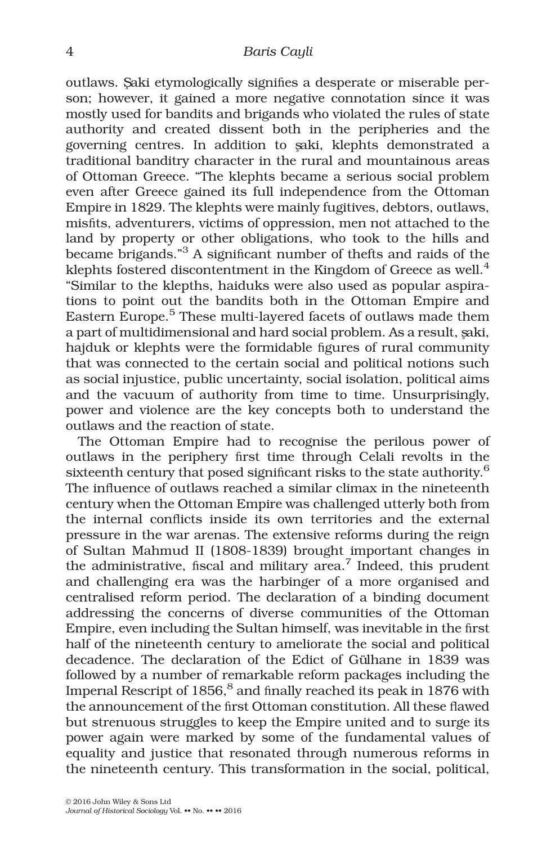outlaws. Şaki etymologically signifies a desperate or miserable person; however, it gained a more negative connotation since it was mostly used for bandits and brigands who violated the rules of state authority and created dissent both in the peripheries and the governing centres. In addition to şaki, klephts demonstrated a traditional banditry character in the rural and mountainous areas of Ottoman Greece. "The klephts became a serious social problem even after Greece gained its full independence from the Ottoman Empire in 1829. The klephts were mainly fugitives, debtors, outlaws, misfits, adventurers, victims of oppression, men not attached to the land by property or other obligations, who took to the hills and became brigands." <sup>3</sup> A significant number of thefts and raids of the klephts fostered discontentment in the Kingdom of Greece as well.<sup>4</sup> "Similar to the klepths, haiduks were also used as popular aspirations to point out the bandits both in the Ottoman Empire and Eastern Europe.<sup>5</sup> These multi-layered facets of outlaws made them a part of multidimensional and hard social problem. As a result, şaki, hajduk or klephts were the formidable figures of rural community that was connected to the certain social and political notions such as social injustice, public uncertainty, social isolation, political aims and the vacuum of authority from time to time. Unsurprisingly, power and violence are the key concepts both to understand the outlaws and the reaction of state.

The Ottoman Empire had to recognise the perilous power of outlaws in the periphery first time through Celali revolts in the sixteenth century that posed significant risks to the state authority.<sup>6</sup> The influence of outlaws reached a similar climax in the nineteenth century when the Ottoman Empire was challenged utterly both from the internal conflicts inside its own territories and the external pressure in the war arenas. The extensive reforms during the reign of Sultan Mahmud II (1808-1839) brought important changes in the administrative, fiscal and military area.<sup>7</sup> Indeed, this prudent and challenging era was the harbinger of a more organised and centralised reform period. The declaration of a binding document addressing the concerns of diverse communities of the Ottoman Empire, even including the Sultan himself, was inevitable in the first half of the nineteenth century to ameliorate the social and political decadence. The declaration of the Edict of Gülhane in 1839 was followed by a number of remarkable reform packages including the Imperial Rescript of  $1856$ ,<sup>8</sup> and finally reached its peak in  $1876$  with the announcement of the first Ottoman constitution. All these flawed but strenuous struggles to keep the Empire united and to surge its power again were marked by some of the fundamental values of equality and justice that resonated through numerous reforms in the nineteenth century. This transformation in the social, political,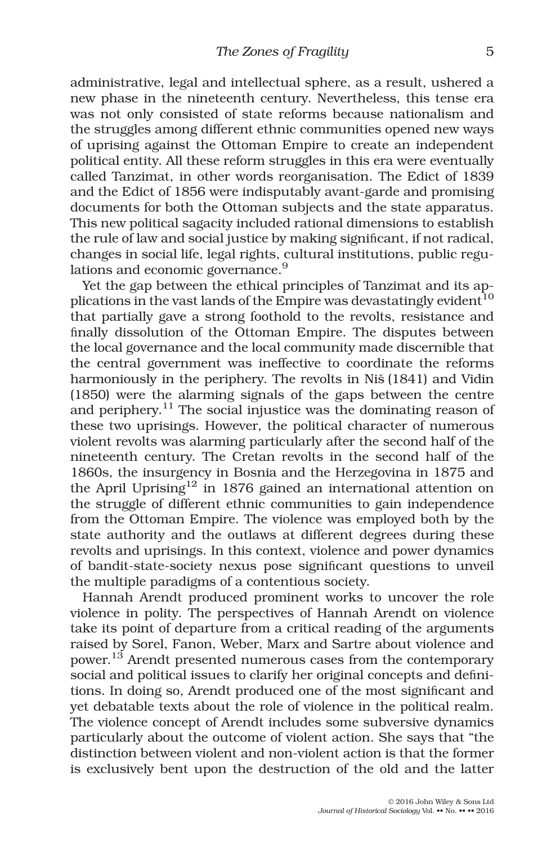administrative, legal and intellectual sphere, as a result, ushered a new phase in the nineteenth century. Nevertheless, this tense era was not only consisted of state reforms because nationalism and the struggles among different ethnic communities opened new ways of uprising against the Ottoman Empire to create an independent political entity. All these reform struggles in this era were eventually called Tanzimat, in other words reorganisation. The Edict of 1839 and the Edict of 1856 were indisputably avant-garde and promising documents for both the Ottoman subjects and the state apparatus. This new political sagacity included rational dimensions to establish the rule of law and social justice by making significant, if not radical, changes in social life, legal rights, cultural institutions, public regulations and economic governance.<sup>9</sup>

Yet the gap between the ethical principles of Tanzimat and its applications in the vast lands of the Empire was devastatingly evident  $10$ that partially gave a strong foothold to the revolts, resistance and finally dissolution of the Ottoman Empire. The disputes between the local governance and the local community made discernible that the central government was ineffective to coordinate the reforms harmoniously in the periphery. The revolts in Niš (1841) and Vidin (1850) were the alarming signals of the gaps between the centre and periphery.<sup>11</sup> The social injustice was the dominating reason of these two uprisings. However, the political character of numerous violent revolts was alarming particularly after the second half of the nineteenth century. The Cretan revolts in the second half of the 1860s, the insurgency in Bosnia and the Herzegovina in 1875 and the April Uprising<sup>12</sup> in 1876 gained an international attention on the struggle of different ethnic communities to gain independence from the Ottoman Empire. The violence was employed both by the state authority and the outlaws at different degrees during these revolts and uprisings. In this context, violence and power dynamics of bandit-state-society nexus pose significant questions to unveil the multiple paradigms of a contentious society.

Hannah Arendt produced prominent works to uncover the role violence in polity. The perspectives of Hannah Arendt on violence take its point of departure from a critical reading of the arguments raised by Sorel, Fanon, Weber, Marx and Sartre about violence and power.<sup>13</sup> Arendt presented numerous cases from the contemporary social and political issues to clarify her original concepts and definitions. In doing so, Arendt produced one of the most significant and yet debatable texts about the role of violence in the political realm. The violence concept of Arendt includes some subversive dynamics particularly about the outcome of violent action. She says that "the distinction between violent and non-violent action is that the former is exclusively bent upon the destruction of the old and the latter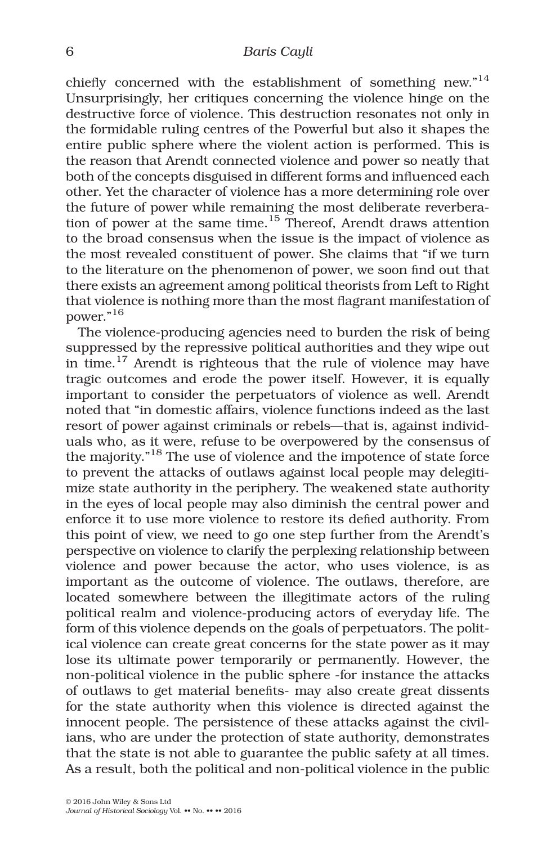chiefly concerned with the establishment of something new."<sup>14</sup> Unsurprisingly, her critiques concerning the violence hinge on the destructive force of violence. This destruction resonates not only in the formidable ruling centres of the Powerful but also it shapes the entire public sphere where the violent action is performed. This is the reason that Arendt connected violence and power so neatly that both of the concepts disguised in different forms and influenced each other. Yet the character of violence has a more determining role over the future of power while remaining the most deliberate reverberation of power at the same time.<sup>15</sup> Thereof, Arendt draws attention to the broad consensus when the issue is the impact of violence as the most revealed constituent of power. She claims that "if we turn to the literature on the phenomenon of power, we soon find out that there exists an agreement among political theorists from Left to Right that violence is nothing more than the most flagrant manifestation of power." 16

The violence-producing agencies need to burden the risk of being suppressed by the repressive political authorities and they wipe out in time.<sup>17</sup> Arendt is righteous that the rule of violence may have tragic outcomes and erode the power itself. However, it is equally important to consider the perpetuators of violence as well. Arendt noted that "in domestic affairs, violence functions indeed as the last resort of power against criminals or rebels—that is, against individuals who, as it were, refuse to be overpowered by the consensus of the majority."<sup>18</sup> The use of violence and the impotence of state force to prevent the attacks of outlaws against local people may delegitimize state authority in the periphery. The weakened state authority in the eyes of local people may also diminish the central power and enforce it to use more violence to restore its defied authority. From this point of view, we need to go one step further from the Arendt's perspective on violence to clarify the perplexing relationship between violence and power because the actor, who uses violence, is as important as the outcome of violence. The outlaws, therefore, are located somewhere between the illegitimate actors of the ruling political realm and violence-producing actors of everyday life. The form of this violence depends on the goals of perpetuators. The political violence can create great concerns for the state power as it may lose its ultimate power temporarily or permanently. However, the non-political violence in the public sphere -for instance the attacks of outlaws to get material benefits- may also create great dissents for the state authority when this violence is directed against the innocent people. The persistence of these attacks against the civilians, who are under the protection of state authority, demonstrates that the state is not able to guarantee the public safety at all times. As a result, both the political and non-political violence in the public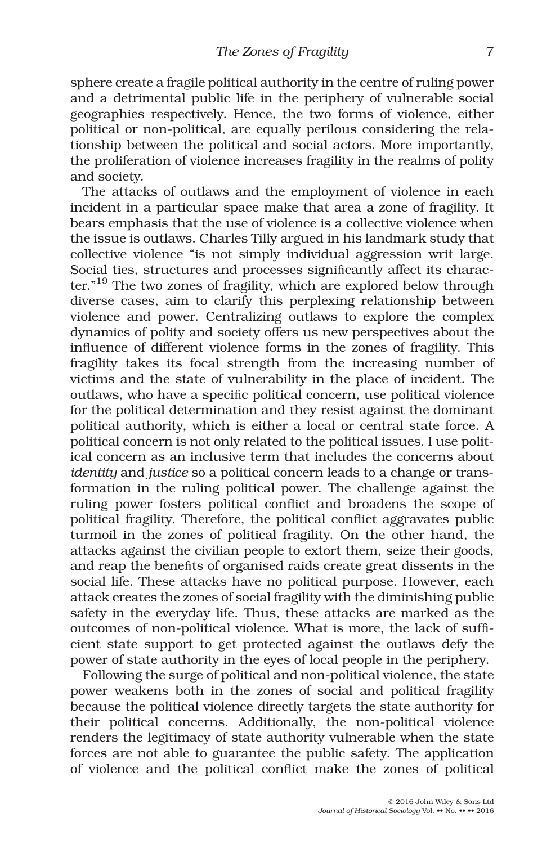sphere create a fragile political authority in the centre of ruling power and a detrimental public life in the periphery of vulnerable social geographies respectively. Hence, the two forms of violence, either political or non-political, are equally perilous considering the relationship between the political and social actors. More importantly, the proliferation of violence increases fragility in the realms of polity and society.

The attacks of outlaws and the employment of violence in each incident in a particular space make that area a zone of fragility. It bears emphasis that the use of violence is a collective violence when the issue is outlaws. Charles Tilly argued in his landmark study that collective violence "is not simply individual aggression writ large. Social ties, structures and processes significantly affect its character." <sup>19</sup> The two zones of fragility, which are explored below through diverse cases, aim to clarify this perplexing relationship between violence and power. Centralizing outlaws to explore the complex dynamics of polity and society offers us new perspectives about the influence of different violence forms in the zones of fragility. This fragility takes its focal strength from the increasing number of victims and the state of vulnerability in the place of incident. The outlaws, who have a specific political concern, use political violence for the political determination and they resist against the dominant political authority, which is either a local or central state force. A political concern is not only related to the political issues. I use political concern as an inclusive term that includes the concerns about identity and justice so a political concern leads to a change or transformation in the ruling political power. The challenge against the ruling power fosters political conflict and broadens the scope of political fragility. Therefore, the political conflict aggravates public turmoil in the zones of political fragility. On the other hand, the attacks against the civilian people to extort them, seize their goods, and reap the benefits of organised raids create great dissents in the social life. These attacks have no political purpose. However, each attack creates the zones of social fragility with the diminishing public safety in the everyday life. Thus, these attacks are marked as the outcomes of non-political violence. What is more, the lack of sufficient state support to get protected against the outlaws defy the power of state authority in the eyes of local people in the periphery.

Following the surge of political and non-political violence, the state power weakens both in the zones of social and political fragility because the political violence directly targets the state authority for their political concerns. Additionally, the non-political violence renders the legitimacy of state authority vulnerable when the state forces are not able to guarantee the public safety. The application of violence and the political conflict make the zones of political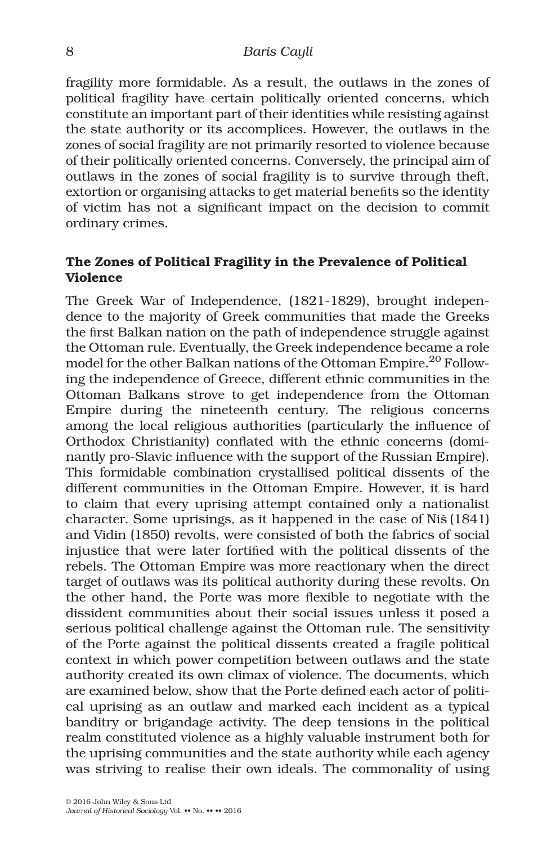fragility more formidable. As a result, the outlaws in the zones of political fragility have certain politically oriented concerns, which constitute an important part of their identities while resisting against the state authority or its accomplices. However, the outlaws in the zones of social fragility are not primarily resorted to violence because of their politically oriented concerns. Conversely, the principal aim of outlaws in the zones of social fragility is to survive through theft, extortion or organising attacks to get material benefits so the identity of victim has not a significant impact on the decision to commit ordinary crimes.

### The Zones of Political Fragility in the Prevalence of Political Violence

The Greek War of Independence, (1821-1829), brought independence to the majority of Greek communities that made the Greeks the first Balkan nation on the path of independence struggle against the Ottoman rule. Eventually, the Greek independence became a role model for the other Balkan nations of the Ottoman Empire.<sup>20</sup> Following the independence of Greece, different ethnic communities in the Ottoman Balkans strove to get independence from the Ottoman Empire during the nineteenth century. The religious concerns among the local religious authorities (particularly the influence of Orthodox Christianity) conflated with the ethnic concerns (dominantly pro-Slavic influence with the support of the Russian Empire). This formidable combination crystallised political dissents of the different communities in the Ottoman Empire. However, it is hard to claim that every uprising attempt contained only a nationalist character. Some uprisings, as it happened in the case of Niš (1841) and Vidin (1850) revolts, were consisted of both the fabrics of social injustice that were later fortified with the political dissents of the rebels. The Ottoman Empire was more reactionary when the direct target of outlaws was its political authority during these revolts. On the other hand, the Porte was more flexible to negotiate with the dissident communities about their social issues unless it posed a serious political challenge against the Ottoman rule. The sensitivity of the Porte against the political dissents created a fragile political context in which power competition between outlaws and the state authority created its own climax of violence. The documents, which are examined below, show that the Porte defined each actor of political uprising as an outlaw and marked each incident as a typical banditry or brigandage activity. The deep tensions in the political realm constituted violence as a highly valuable instrument both for the uprising communities and the state authority while each agency was striving to realise their own ideals. The commonality of using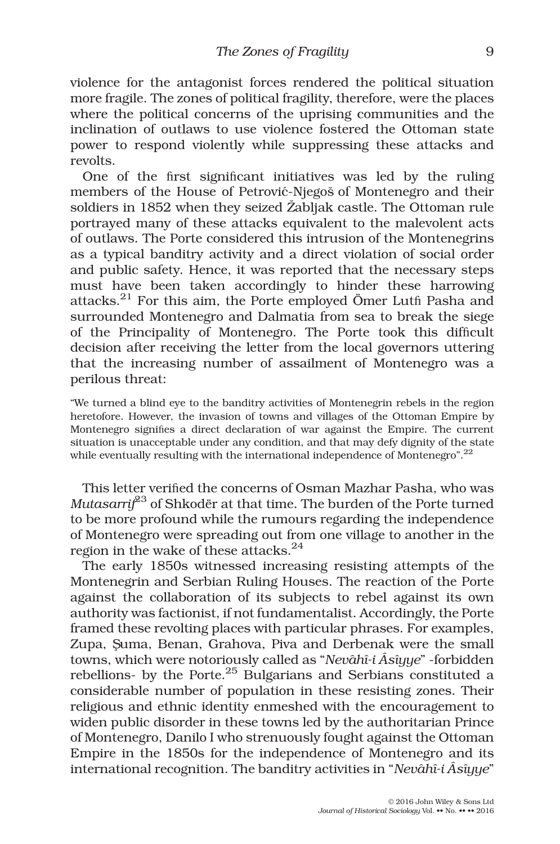violence for the antagonist forces rendered the political situation more fragile. The zones of political fragility, therefore, were the places where the political concerns of the uprising communities and the inclination of outlaws to use violence fostered the Ottoman state power to respond violently while suppressing these attacks and revolts.

One of the first significant initiatives was led by the ruling members of the House of Petrović-Njegoš of Montenegro and their soldiers in 1852 when they seized Žabljak castle. The Ottoman rule portrayed many of these attacks equivalent to the malevolent acts of outlaws. The Porte considered this intrusion of the Montenegrins as a typical banditry activity and a direct violation of social order and public safety. Hence, it was reported that the necessary steps must have been taken accordingly to hinder these harrowing attacks.<sup>21</sup> For this aim, the Porte employed Ömer Lutfi Pasha and surrounded Montenegro and Dalmatia from sea to break the siege of the Principality of Montenegro. The Porte took this difficult decision after receiving the letter from the local governors uttering that the increasing number of assailment of Montenegro was a perilous threat:

"We turned a blind eye to the banditry activities of Montenegrin rebels in the region heretofore. However, the invasion of towns and villages of the Ottoman Empire by Montenegro signifies a direct declaration of war against the Empire. The current situation is unacceptable under any condition, and that may defy dignity of the state while eventually resulting with the international independence of Montenegro". $^{22}$ 

This letter verified the concerns of Osman Mazhar Pasha, who was Mutasarri $f^{23}$  of Shkodër at that time. The burden of the Porte turned to be more profound while the rumours regarding the independence of Montenegro were spreading out from one village to another in the region in the wake of these attacks.24

The early 1850s witnessed increasing resisting attempts of the Montenegrin and Serbian Ruling Houses. The reaction of the Porte against the collaboration of its subjects to rebel against its own authority was factionist, if not fundamentalist. Accordingly, the Porte framed these revolting places with particular phrases. For examples, Zupa, Şuma, Benan, Grahova, Piva and Derbenak were the small towns, which were notoriously called as "Nevâhî-i Âsîyye" -forbidden rebellions- by the Porte.<sup>25</sup> Bulgarians and Serbians constituted a considerable number of population in these resisting zones. Their religious and ethnic identity enmeshed with the encouragement to widen public disorder in these towns led by the authoritarian Prince of Montenegro, Danilo I who strenuously fought against the Ottoman Empire in the 1850s for the independence of Montenegro and its international recognition. The banditry activities in "Nevâhî-i Âsî $\mu$ ye"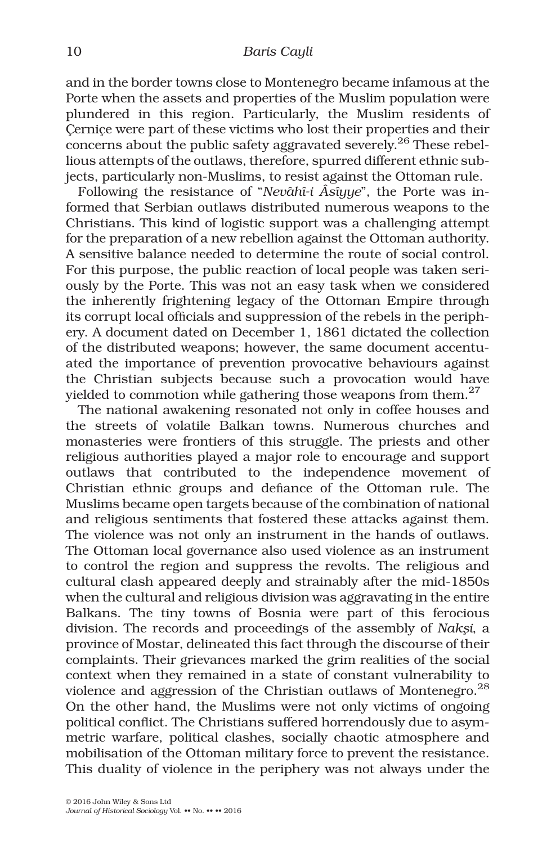and in the border towns close to Montenegro became infamous at the Porte when the assets and properties of the Muslim population were plundered in this region. Particularly, the Muslim residents of Çerniçe were part of these victims who lost their properties and their concerns about the public safety aggravated severely.<sup>26</sup> These rebellious attempts of the outlaws, therefore, spurred different ethnic subjects, particularly non-Muslims, to resist against the Ottoman rule.

Following the resistance of "Nevâhî-i Âsîyye", the Porte was informed that Serbian outlaws distributed numerous weapons to the Christians. This kind of logistic support was a challenging attempt for the preparation of a new rebellion against the Ottoman authority. A sensitive balance needed to determine the route of social control. For this purpose, the public reaction of local people was taken seriously by the Porte. This was not an easy task when we considered the inherently frightening legacy of the Ottoman Empire through its corrupt local officials and suppression of the rebels in the periphery. A document dated on December 1, 1861 dictated the collection of the distributed weapons; however, the same document accentuated the importance of prevention provocative behaviours against the Christian subjects because such a provocation would have yielded to commotion while gathering those weapons from them.<sup>27</sup>

The national awakening resonated not only in coffee houses and the streets of volatile Balkan towns. Numerous churches and monasteries were frontiers of this struggle. The priests and other religious authorities played a major role to encourage and support outlaws that contributed to the independence movement of Christian ethnic groups and defiance of the Ottoman rule. The Muslims became open targets because of the combination of national and religious sentiments that fostered these attacks against them. The violence was not only an instrument in the hands of outlaws. The Ottoman local governance also used violence as an instrument to control the region and suppress the revolts. The religious and cultural clash appeared deeply and strainably after the mid-1850s when the cultural and religious division was aggravating in the entire Balkans. The tiny towns of Bosnia were part of this ferocious division. The records and proceedings of the assembly of Nakşi, a province of Mostar, delineated this fact through the discourse of their complaints. Their grievances marked the grim realities of the social context when they remained in a state of constant vulnerability to violence and aggression of the Christian outlaws of Montenegro.<sup>28</sup> On the other hand, the Muslims were not only victims of ongoing political conflict. The Christians suffered horrendously due to asymmetric warfare, political clashes, socially chaotic atmosphere and mobilisation of the Ottoman military force to prevent the resistance. This duality of violence in the periphery was not always under the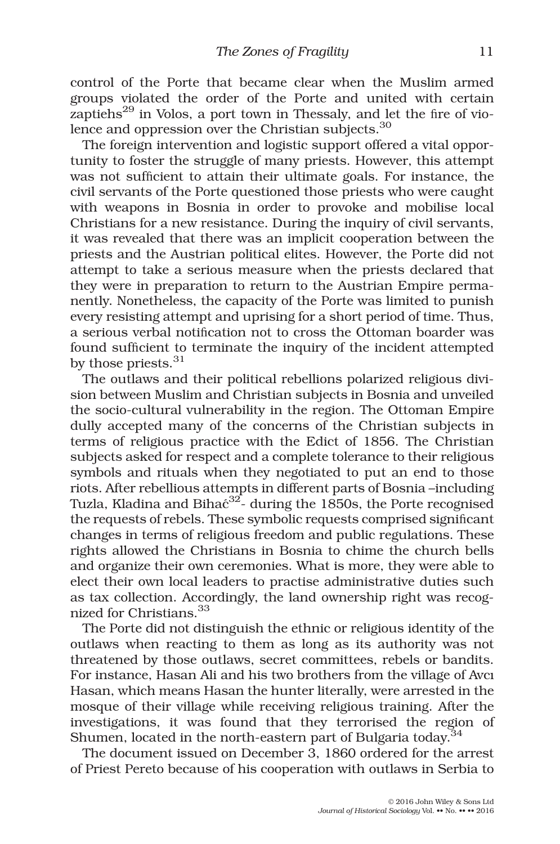control of the Porte that became clear when the Muslim armed groups violated the order of the Porte and united with certain zaptiehs<sup>29</sup> in Volos, a port town in Thessaly, and let the fire of violence and oppression over the Christian subjects.<sup>30</sup>

The foreign intervention and logistic support offered a vital opportunity to foster the struggle of many priests. However, this attempt was not sufficient to attain their ultimate goals. For instance, the civil servants of the Porte questioned those priests who were caught with weapons in Bosnia in order to provoke and mobilise local Christians for a new resistance. During the inquiry of civil servants, it was revealed that there was an implicit cooperation between the priests and the Austrian political elites. However, the Porte did not attempt to take a serious measure when the priests declared that they were in preparation to return to the Austrian Empire permanently. Nonetheless, the capacity of the Porte was limited to punish every resisting attempt and uprising for a short period of time. Thus, a serious verbal notification not to cross the Ottoman boarder was found sufficient to terminate the inquiry of the incident attempted by those priests.<sup>31</sup>

The outlaws and their political rebellions polarized religious division between Muslim and Christian subjects in Bosnia and unveiled the socio-cultural vulnerability in the region. The Ottoman Empire dully accepted many of the concerns of the Christian subjects in terms of religious practice with the Edict of 1856. The Christian subjects asked for respect and a complete tolerance to their religious symbols and rituals when they negotiated to put an end to those riots. After rebellious attempts in different parts of Bosnia –including Tuzla, Kladina and Bihać<sup>32</sup>- during the 1850s, the Porte recognised the requests of rebels. These symbolic requests comprised significant changes in terms of religious freedom and public regulations. These rights allowed the Christians in Bosnia to chime the church bells and organize their own ceremonies. What is more, they were able to elect their own local leaders to practise administrative duties such as tax collection. Accordingly, the land ownership right was recognized for Christians.<sup>33</sup>

The Porte did not distinguish the ethnic or religious identity of the outlaws when reacting to them as long as its authority was not threatened by those outlaws, secret committees, rebels or bandits. For instance, Hasan Ali and his two brothers from the village of Avcı Hasan, which means Hasan the hunter literally, were arrested in the mosque of their village while receiving religious training. After the investigations, it was found that they terrorised the region of Shumen, located in the north-eastern part of Bulgaria today.<sup>34</sup>

The document issued on December 3, 1860 ordered for the arrest of Priest Pereto because of his cooperation with outlaws in Serbia to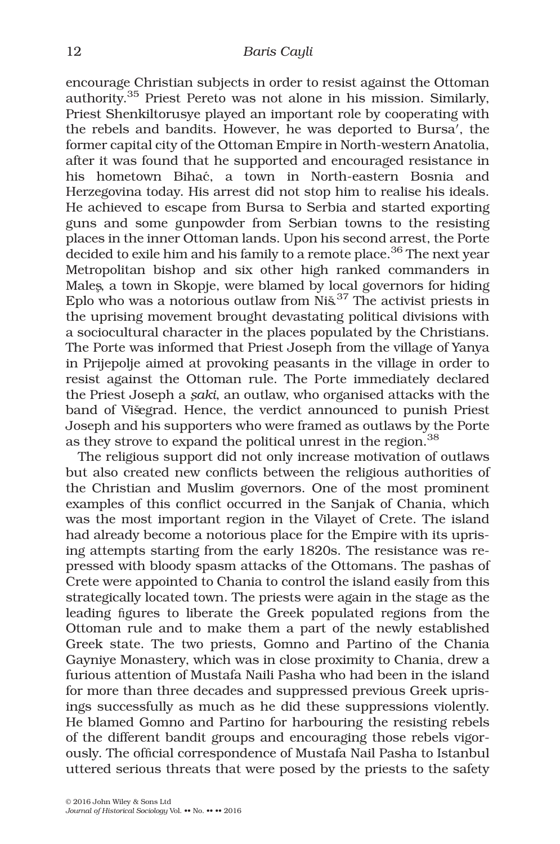encourage Christian subjects in order to resist against the Ottoman authority.35 Priest Pereto was not alone in his mission. Similarly, Priest Shenkiltorusye played an important role by cooperating with the rebels and bandits. However, he was deported to Bursa′, the former capital city of the Ottoman Empire in North-western Anatolia, after it was found that he supported and encouraged resistance in his hometown Bihać, a town in North-eastern Bosnia and Herzegovina today. His arrest did not stop him to realise his ideals. He achieved to escape from Bursa to Serbia and started exporting guns and some gunpowder from Serbian towns to the resisting places in the inner Ottoman lands. Upon his second arrest, the Porte decided to exile him and his family to a remote place.<sup>36</sup> The next year Metropolitan bishop and six other high ranked commanders in Maleş, a town in Skopje, were blamed by local governors for hiding Eplo who was a notorious outlaw from Niš.<sup>37</sup> The activist priests in the uprising movement brought devastating political divisions with a sociocultural character in the places populated by the Christians. The Porte was informed that Priest Joseph from the village of Yanya in Prijepolje aimed at provoking peasants in the village in order to resist against the Ottoman rule. The Porte immediately declared the Priest Joseph a şaki, an outlaw, who organised attacks with the band of Višegrad. Hence, the verdict announced to punish Priest Joseph and his supporters who were framed as outlaws by the Porte as they strove to expand the political unrest in the region.<sup>38</sup>

The religious support did not only increase motivation of outlaws but also created new conflicts between the religious authorities of the Christian and Muslim governors. One of the most prominent examples of this conflict occurred in the Sanjak of Chania, which was the most important region in the Vilayet of Crete. The island had already become a notorious place for the Empire with its uprising attempts starting from the early 1820s. The resistance was repressed with bloody spasm attacks of the Ottomans. The pashas of Crete were appointed to Chania to control the island easily from this strategically located town. The priests were again in the stage as the leading figures to liberate the Greek populated regions from the Ottoman rule and to make them a part of the newly established Greek state. The two priests, Gomno and Partino of the Chania Gayniye Monastery, which was in close proximity to Chania, drew a furious attention of Mustafa Naili Pasha who had been in the island for more than three decades and suppressed previous Greek uprisings successfully as much as he did these suppressions violently. He blamed Gomno and Partino for harbouring the resisting rebels of the different bandit groups and encouraging those rebels vigorously. The official correspondence of Mustafa Nail Pasha to Istanbul uttered serious threats that were posed by the priests to the safety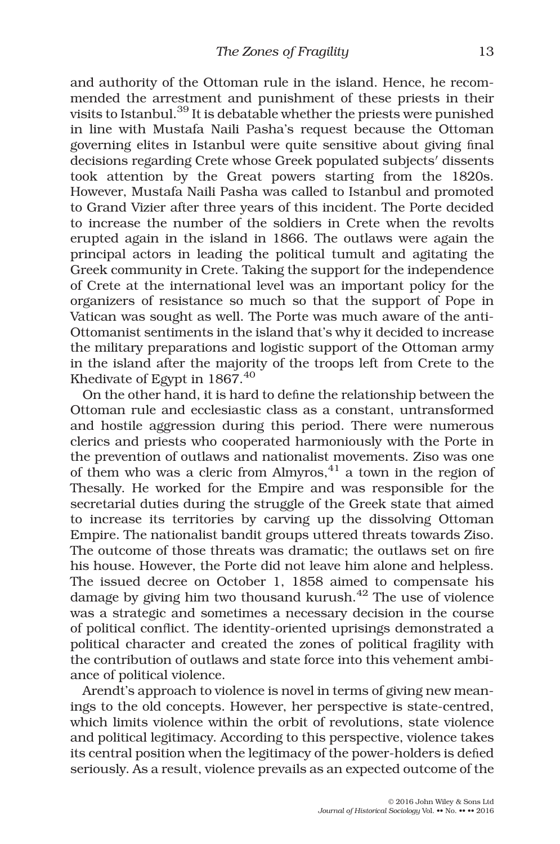and authority of the Ottoman rule in the island. Hence, he recommended the arrestment and punishment of these priests in their visits to Istanbul.<sup>39</sup> It is debatable whether the priests were punished in line with Mustafa Naili Pasha's request because the Ottoman governing elites in Istanbul were quite sensitive about giving final decisions regarding Crete whose Greek populated subjects′ dissents took attention by the Great powers starting from the 1820s. However, Mustafa Naili Pasha was called to Istanbul and promoted to Grand Vizier after three years of this incident. The Porte decided to increase the number of the soldiers in Crete when the revolts erupted again in the island in 1866. The outlaws were again the principal actors in leading the political tumult and agitating the Greek community in Crete. Taking the support for the independence of Crete at the international level was an important policy for the organizers of resistance so much so that the support of Pope in Vatican was sought as well. The Porte was much aware of the anti-Ottomanist sentiments in the island that's why it decided to increase the military preparations and logistic support of the Ottoman army in the island after the majority of the troops left from Crete to the Khedivate of Egypt in 1867.<sup>40</sup>

On the other hand, it is hard to define the relationship between the Ottoman rule and ecclesiastic class as a constant, untransformed and hostile aggression during this period. There were numerous clerics and priests who cooperated harmoniously with the Porte in the prevention of outlaws and nationalist movements. Ziso was one of them who was a cleric from Almyros, $^{41}$  a town in the region of Thesally. He worked for the Empire and was responsible for the secretarial duties during the struggle of the Greek state that aimed to increase its territories by carving up the dissolving Ottoman Empire. The nationalist bandit groups uttered threats towards Ziso. The outcome of those threats was dramatic; the outlaws set on fire his house. However, the Porte did not leave him alone and helpless. The issued decree on October 1, 1858 aimed to compensate his damage by giving him two thousand kurush.<sup>42</sup> The use of violence was a strategic and sometimes a necessary decision in the course of political conflict. The identity-oriented uprisings demonstrated a political character and created the zones of political fragility with the contribution of outlaws and state force into this vehement ambiance of political violence.

Arendt's approach to violence is novel in terms of giving new meanings to the old concepts. However, her perspective is state-centred, which limits violence within the orbit of revolutions, state violence and political legitimacy. According to this perspective, violence takes its central position when the legitimacy of the power-holders is defied seriously. As a result, violence prevails as an expected outcome of the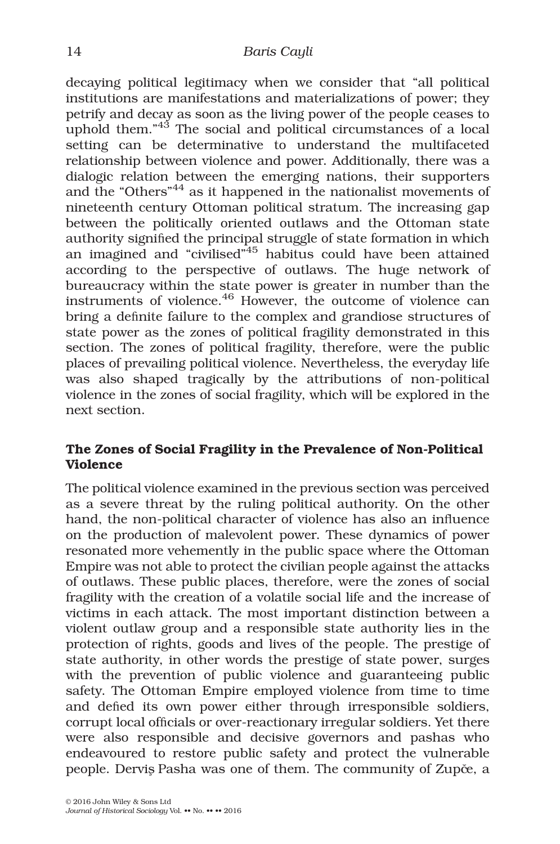decaying political legitimacy when we consider that "all political institutions are manifestations and materializations of power; they petrify and decay as soon as the living power of the people ceases to uphold them." <sup>43</sup> The social and political circumstances of a local setting can be determinative to understand the multifaceted relationship between violence and power. Additionally, there was a dialogic relation between the emerging nations, their supporters and the "Others"<sup>44</sup> as it happened in the nationalist movements of nineteenth century Ottoman political stratum. The increasing gap between the politically oriented outlaws and the Ottoman state authority signified the principal struggle of state formation in which an imagined and "civilised"<sup>45</sup> habitus could have been attained according to the perspective of outlaws. The huge network of bureaucracy within the state power is greater in number than the instruments of violence.<sup>46</sup> However, the outcome of violence can bring a definite failure to the complex and grandiose structures of state power as the zones of political fragility demonstrated in this section. The zones of political fragility, therefore, were the public places of prevailing political violence. Nevertheless, the everyday life was also shaped tragically by the attributions of non-political violence in the zones of social fragility, which will be explored in the next section.

## The Zones of Social Fragility in the Prevalence of Non-Political Violence

The political violence examined in the previous section was perceived as a severe threat by the ruling political authority. On the other hand, the non-political character of violence has also an influence on the production of malevolent power. These dynamics of power resonated more vehemently in the public space where the Ottoman Empire was not able to protect the civilian people against the attacks of outlaws. These public places, therefore, were the zones of social fragility with the creation of a volatile social life and the increase of victims in each attack. The most important distinction between a violent outlaw group and a responsible state authority lies in the protection of rights, goods and lives of the people. The prestige of state authority, in other words the prestige of state power, surges with the prevention of public violence and guaranteeing public safety. The Ottoman Empire employed violence from time to time and defied its own power either through irresponsible soldiers, corrupt local officials or over-reactionary irregular soldiers. Yet there were also responsible and decisive governors and pashas who endeavoured to restore public safety and protect the vulnerable people. Derviş Pasha was one of them. The community of Zupče, a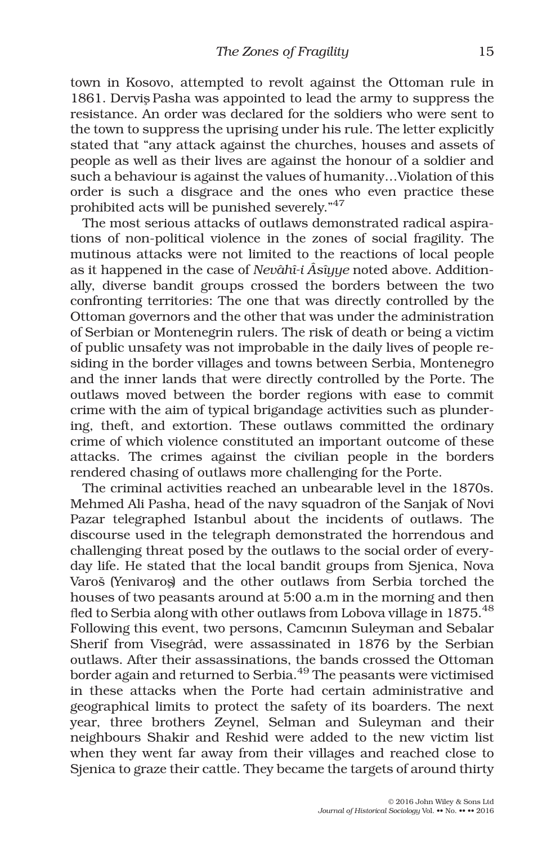town in Kosovo, attempted to revolt against the Ottoman rule in 1861. Derviş Pasha was appointed to lead the army to suppress the resistance. An order was declared for the soldiers who were sent to the town to suppress the uprising under his rule. The letter explicitly stated that "any attack against the churches, houses and assets of people as well as their lives are against the honour of a soldier and such a behaviour is against the values of humanity...Violation of this order is such a disgrace and the ones who even practice these prohibited acts will be punished severely." 47

The most serious attacks of outlaws demonstrated radical aspirations of non-political violence in the zones of social fragility. The mutinous attacks were not limited to the reactions of local people as it happened in the case of Nevâhî-i Âsîyye noted above. Additionally, diverse bandit groups crossed the borders between the two confronting territories: The one that was directly controlled by the Ottoman governors and the other that was under the administration of Serbian or Montenegrin rulers. The risk of death or being a victim of public unsafety was not improbable in the daily lives of people residing in the border villages and towns between Serbia, Montenegro and the inner lands that were directly controlled by the Porte. The outlaws moved between the border regions with ease to commit crime with the aim of typical brigandage activities such as plundering, theft, and extortion. These outlaws committed the ordinary crime of which violence constituted an important outcome of these attacks. The crimes against the civilian people in the borders rendered chasing of outlaws more challenging for the Porte.

The criminal activities reached an unbearable level in the 1870s. Mehmed Ali Pasha, head of the navy squadron of the Sanjak of Novi Pazar telegraphed Istanbul about the incidents of outlaws. The discourse used in the telegraph demonstrated the horrendous and challenging threat posed by the outlaws to the social order of everyday life. He stated that the local bandit groups from Sjenica, Nova Varoš (Yenivaroş) and the other outlaws from Serbia torched the houses of two peasants around at 5:00 a.m in the morning and then fled to Serbia along with other outlaws from Lobova village in 1875.<sup>48</sup> Following this event, two persons, Camcının Suleyman and Sebalar Sherif from Visegrád, were assassinated in 1876 by the Serbian outlaws. After their assassinations, the bands crossed the Ottoman border again and returned to Serbia.<sup>49</sup> The peasants were victimised in these attacks when the Porte had certain administrative and geographical limits to protect the safety of its boarders. The next year, three brothers Zeynel, Selman and Suleyman and their neighbours Shakir and Reshid were added to the new victim list when they went far away from their villages and reached close to Sjenica to graze their cattle. They became the targets of around thirty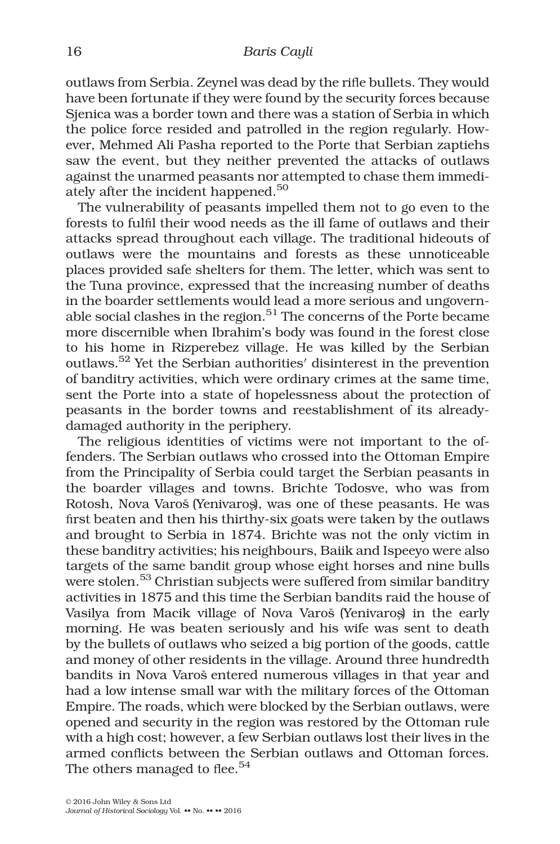outlaws from Serbia. Zeynel was dead by the rifle bullets. They would have been fortunate if they were found by the security forces because Sjenica was a border town and there was a station of Serbia in which the police force resided and patrolled in the region regularly. However, Mehmed Ali Pasha reported to the Porte that Serbian zaptiehs saw the event, but they neither prevented the attacks of outlaws against the unarmed peasants nor attempted to chase them immediately after the incident happened.<sup>50</sup>

The vulnerability of peasants impelled them not to go even to the forests to fulfil their wood needs as the ill fame of outlaws and their attacks spread throughout each village. The traditional hideouts of outlaws were the mountains and forests as these unnoticeable places provided safe shelters for them. The letter, which was sent to the Tuna province, expressed that the increasing number of deaths in the boarder settlements would lead a more serious and ungovernable social clashes in the region.<sup>51</sup> The concerns of the Porte became more discernible when Ibrahim's body was found in the forest close to his home in Rizperebez village. He was killed by the Serbian outlaws.<sup>52</sup> Yet the Serbian authorities′ disinterest in the prevention of banditry activities, which were ordinary crimes at the same time, sent the Porte into a state of hopelessness about the protection of peasants in the border towns and reestablishment of its alreadydamaged authority in the periphery.

The religious identities of victims were not important to the offenders. The Serbian outlaws who crossed into the Ottoman Empire from the Principality of Serbia could target the Serbian peasants in the boarder villages and towns. Brichte Todosve, who was from Rotosh, Nova Varoš (Yenivaroş), was one of these peasants. He was first beaten and then his thirthy-six goats were taken by the outlaws and brought to Serbia in 1874. Brichte was not the only victim in these banditry activities; his neighbours, Baiik and Ispeeyo were also targets of the same bandit group whose eight horses and nine bulls were stolen.<sup>53</sup> Christian subjects were suffered from similar banditry activities in 1875 and this time the Serbian bandits raid the house of Vasilya from Macik village of Nova Varoš (Yenivaroş) in the early morning. He was beaten seriously and his wife was sent to death by the bullets of outlaws who seized a big portion of the goods, cattle and money of other residents in the village. Around three hundredth bandits in Nova Varoš entered numerous villages in that year and had a low intense small war with the military forces of the Ottoman Empire. The roads, which were blocked by the Serbian outlaws, were opened and security in the region was restored by the Ottoman rule with a high cost; however, a few Serbian outlaws lost their lives in the armed conflicts between the Serbian outlaws and Ottoman forces. The others managed to flee.<sup>54</sup>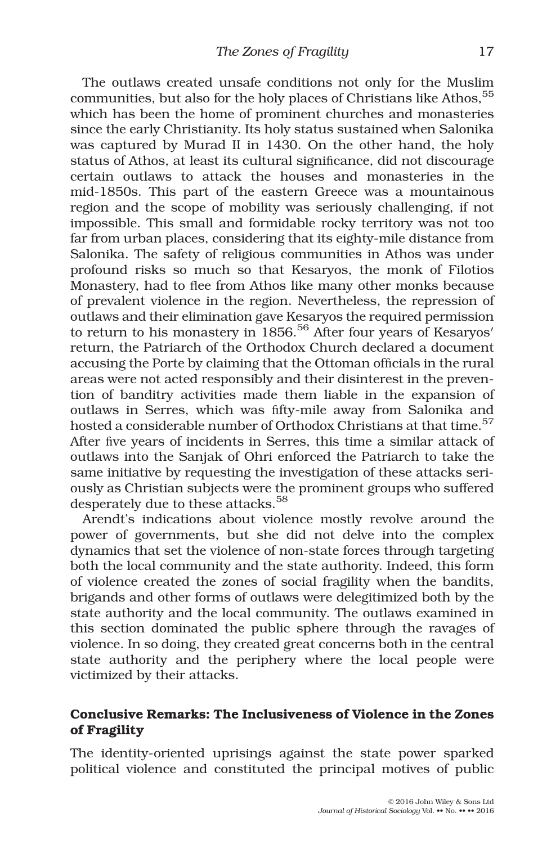The outlaws created unsafe conditions not only for the Muslim communities, but also for the holy places of Christians like Athos.<sup>55</sup> which has been the home of prominent churches and monasteries since the early Christianity. Its holy status sustained when Salonika was captured by Murad II in 1430. On the other hand, the holy status of Athos, at least its cultural significance, did not discourage certain outlaws to attack the houses and monasteries in the mid-1850s. This part of the eastern Greece was a mountainous region and the scope of mobility was seriously challenging, if not impossible. This small and formidable rocky territory was not too far from urban places, considering that its eighty-mile distance from Salonika. The safety of religious communities in Athos was under profound risks so much so that Kesaryos, the monk of Filotios Monastery, had to flee from Athos like many other monks because of prevalent violence in the region. Nevertheless, the repression of outlaws and their elimination gave Kesaryos the required permission to return to his monastery in  $1856$ <sup>56</sup> After four years of Kesaryos' return, the Patriarch of the Orthodox Church declared a document accusing the Porte by claiming that the Ottoman officials in the rural areas were not acted responsibly and their disinterest in the prevention of banditry activities made them liable in the expansion of outlaws in Serres, which was fifty-mile away from Salonika and hosted a considerable number of Orthodox Christians at that time.<sup>57</sup> After five years of incidents in Serres, this time a similar attack of outlaws into the Sanjak of Ohri enforced the Patriarch to take the same initiative by requesting the investigation of these attacks seriously as Christian subjects were the prominent groups who suffered desperately due to these attacks.<sup>58</sup>

Arendt's indications about violence mostly revolve around the power of governments, but she did not delve into the complex dynamics that set the violence of non-state forces through targeting both the local community and the state authority. Indeed, this form of violence created the zones of social fragility when the bandits, brigands and other forms of outlaws were delegitimized both by the state authority and the local community. The outlaws examined in this section dominated the public sphere through the ravages of violence. In so doing, they created great concerns both in the central state authority and the periphery where the local people were victimized by their attacks.

#### Conclusive Remarks: The Inclusiveness of Violence in the Zones of Fragility

The identity-oriented uprisings against the state power sparked political violence and constituted the principal motives of public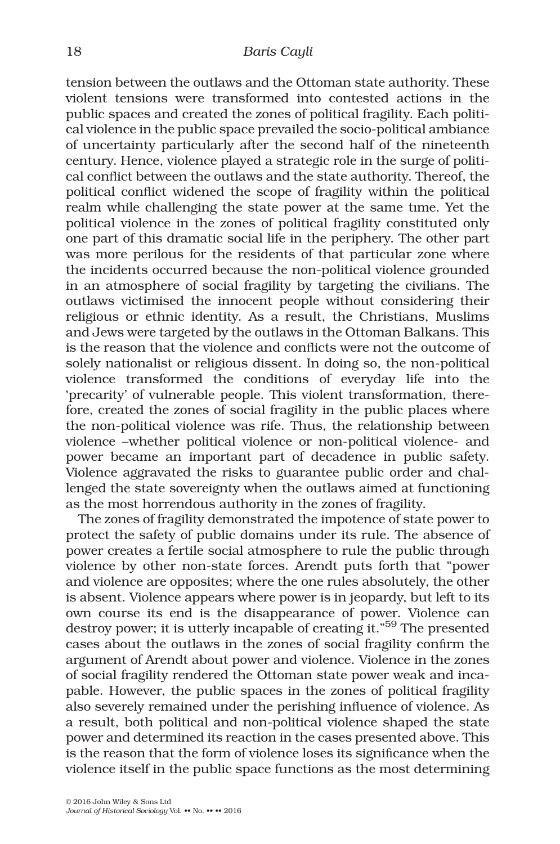tension between the outlaws and the Ottoman state authority. These violent tensions were transformed into contested actions in the public spaces and created the zones of political fragility. Each political violence in the public space prevailed the socio-political ambiance of uncertainty particularly after the second half of the nineteenth century. Hence, violence played a strategic role in the surge of political conflict between the outlaws and the state authority. Thereof, the political conflict widened the scope of fragility within the political realm while challenging the state power at the same tıme. Yet the political violence in the zones of political fragility constituted only one part of this dramatic social life in the periphery. The other part was more perilous for the residents of that particular zone where the incidents occurred because the non-political violence grounded in an atmosphere of social fragility by targeting the civilians. The outlaws victimised the innocent people without considering their religious or ethnic identity. As a result, the Christians, Muslims and Jews were targeted by the outlaws in the Ottoman Balkans. This is the reason that the violence and conflicts were not the outcome of solely nationalist or religious dissent. In doing so, the non-political violence transformed the conditions of everyday life into the 'precarity' of vulnerable people. This violent transformation, therefore, created the zones of social fragility in the public places where the non-political violence was rife. Thus, the relationship between violence –whether political violence or non-political violence- and power became an important part of decadence in public safety. Violence aggravated the risks to guarantee public order and challenged the state sovereignty when the outlaws aimed at functioning as the most horrendous authority in the zones of fragility.

The zones of fragility demonstrated the impotence of state power to protect the safety of public domains under its rule. The absence of power creates a fertile social atmosphere to rule the public through violence by other non-state forces. Arendt puts forth that "power and violence are opposites; where the one rules absolutely, the other is absent. Violence appears where power is in jeopardy, but left to its own course its end is the disappearance of power. Violence can destroy power; it is utterly incapable of creating it." <sup>59</sup> The presented cases about the outlaws in the zones of social fragility confirm the argument of Arendt about power and violence. Violence in the zones of social fragility rendered the Ottoman state power weak and incapable. However, the public spaces in the zones of political fragility also severely remained under the perishing influence of violence. As a result, both political and non-political violence shaped the state power and determined its reaction in the cases presented above. This is the reason that the form of violence loses its significance when the violence itself in the public space functions as the most determining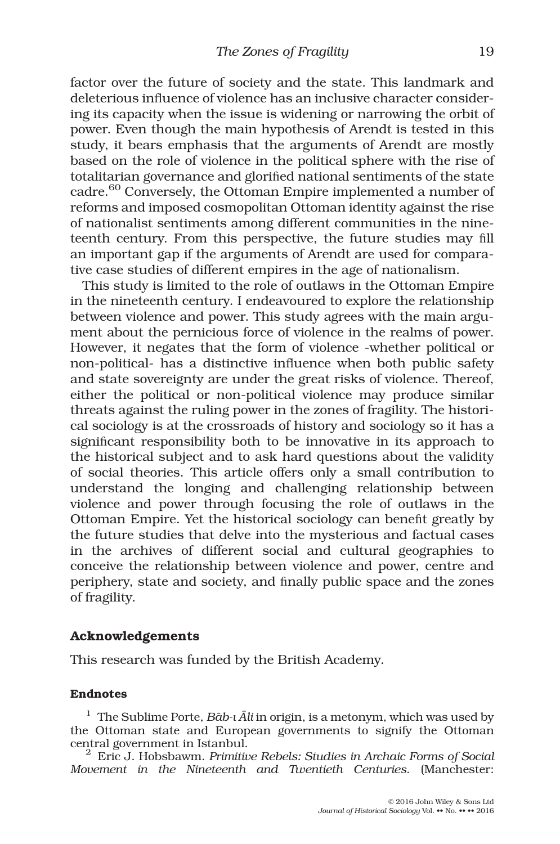factor over the future of society and the state. This landmark and deleterious influence of violence has an inclusive character considering its capacity when the issue is widening or narrowing the orbit of power. Even though the main hypothesis of Arendt is tested in this study, it bears emphasis that the arguments of Arendt are mostly based on the role of violence in the political sphere with the rise of totalitarian governance and glorified national sentiments of the state cadre.<sup>60</sup> Conversely, the Ottoman Empire implemented a number of reforms and imposed cosmopolitan Ottoman identity against the rise of nationalist sentiments among different communities in the nineteenth century. From this perspective, the future studies may fill an important gap if the arguments of Arendt are used for comparative case studies of different empires in the age of nationalism.

This study is limited to the role of outlaws in the Ottoman Empire in the nineteenth century. I endeavoured to explore the relationship between violence and power. This study agrees with the main argument about the pernicious force of violence in the realms of power. However, it negates that the form of violence -whether political or non-political- has a distinctive influence when both public safety and state sovereignty are under the great risks of violence. Thereof, either the political or non-political violence may produce similar threats against the ruling power in the zones of fragility. The historical sociology is at the crossroads of history and sociology so it has a significant responsibility both to be innovative in its approach to the historical subject and to ask hard questions about the validity of social theories. This article offers only a small contribution to understand the longing and challenging relationship between violence and power through focusing the role of outlaws in the Ottoman Empire. Yet the historical sociology can benefit greatly by the future studies that delve into the mysterious and factual cases in the archives of different social and cultural geographies to conceive the relationship between violence and power, centre and periphery, state and society, and finally public space and the zones of fragility.

#### Acknowledgements

This research was funded by the British Academy.

#### Endnotes

<sup>1</sup> The Sublime Porte,  $B\hat{a}b$ -*i*  $\hat{A}$ *li* in origin, is a metonym, which was used by the Ottoman state and European governments to signify the Ottoman central government in Istanbul.

 $^2$  Eric J. Hobsbawm. Primitive Rebels: Studies in Archaic Forms of Social Movement in the Nineteenth and Twentieth Centuries. (Manchester: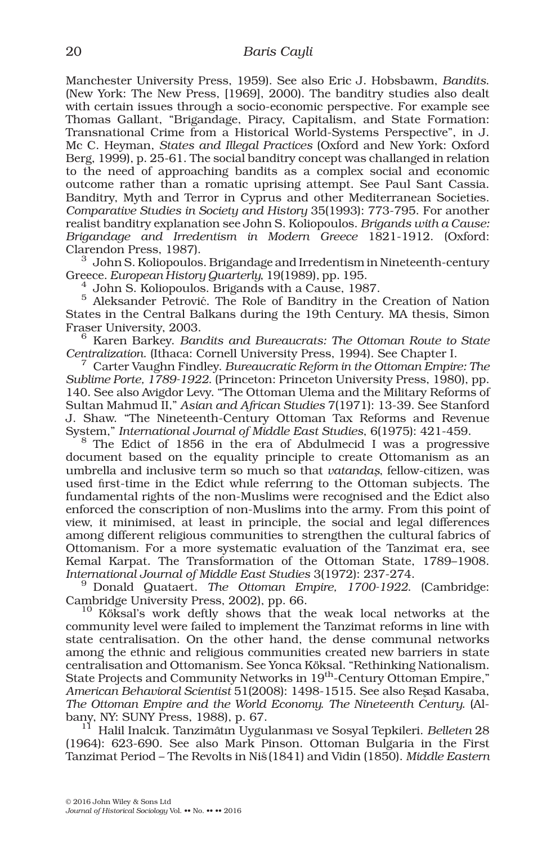Manchester University Press, 1959). See also Eric J. Hobsbawm, Bandits. (New York: The New Press, [1969], 2000). The banditry studies also dealt with certain issues through a socio-economic perspective. For example see Thomas Gallant, "Brigandage, Piracy, Capitalism, and State Formation: Transnational Crime from a Historical World-Systems Perspective", in J. Mc C. Heyman, States and Illegal Practices (Oxford and New York: Oxford Berg, 1999), p. 25-61. The social banditry concept was challanged in relation to the need of approaching bandits as a complex social and economic outcome rather than a romatic uprising attempt. See Paul Sant Cassia. Banditry, Myth and Terror in Cyprus and other Mediterranean Societies. Comparative Studies in Society and History 35(1993): 773-795. For another realist banditry explanation see John S. Koliopoulos. Brigands with a Cause: Brigandage and Irredentism in Modern Greece 1821-1912. (Oxford:

<sup>3</sup> John S. Koliopoulos. Brigandage and Irredentism in Nineteenth-century Greece. European History Quarterly, 19(1989), pp. 195.

 $^4$  John S. Koliopoulos. Brigands with a Cause, 1987.  $^5$  Aleksander Petrović. The Role of Banditry in the Creation of Nation States in the Central Balkans during the 19th Century. MA thesis, Simon

 $6$  Karen Barkey. Bandits and Bureaucrats: The Ottoman Route to State Centralization. (Ithaca: Cornell University Press, 1994). See Chapter I.

 $\frac{7}{7}$  Carter Vaughn Findley. Bureaucratic Reform in the Ottoman Empire: The Sublime Porte, 1789-1922. (Princeton: Princeton University Press, 1980), pp. 140. See also Avigdor Levy. "The Ottoman Ulema and the Military Reforms of Sultan Mahmud II," Asian and African Studies 7(1971): 13-39. See Stanford J. Shaw. "The Nineteenth-Century Ottoman Tax Reforms and Revenue System," International Journal of Middle East Studies, 6(1975): 421-459. <sup>8</sup> The Edict of 1856 in the era of Abdulmecid I was a progressive

document based on the equality principle to create Ottomanism as an umbrella and inclusive term so much so that vatandaş, fellow-citizen, was used first-time in the Edict whıle referrıng to the Ottoman subjects. The fundamental rights of the non-Muslims were recognised and the Edict also enforced the conscription of non-Muslims into the army. From this point of view, it minimised, at least in principle, the social and legal differences among different religious communities to strengthen the cultural fabrics of Ottomanism. For a more systematic evaluation of the Tanzimat era, see Kemal Karpat. The Transformation of the Ottoman State, 1789–1908.<br>International Journal of Middle East Studies 3(1972): 237-274.

<sup>9</sup> Donald Quataert. The Ottoman Empire, 1700-1922. (Cambridge: Cambridge University Press, 2002), pp. 66.

<sup>10</sup> Köksal's work deftly shows that the weak local networks at the community level were failed to implement the Tanzimat reforms in line with state centralisation. On the other hand, the dense communal networks among the ethnic and religious communities created new barriers in state centralisation and Ottomanism. See Yonca Köksal. "Rethinking Nationalism. State Projects and Community Networks in 19<sup>th</sup>-Century Ottoman Empire," American Behavioral Scientist 51(2008): 1498-1515. See also Reşad Kasaba, The Ottoman Empire and the World Economy. The Nineteenth Century. (Albany, NY: SUNY Press, 1988), p. 67. <sup>11</sup> Halil Inalcık. Tanzimâtın Uygulanmas<sup>ı</sup> ve Sosyal Tepkileri. Belleten <sup>28</sup>

(1964): 623-690. See also Mark Pinson. Ottoman Bulgaria in the First Tanzimat Period – The Revolts in Niš (1841) and Vidin (1850). Middle Eastern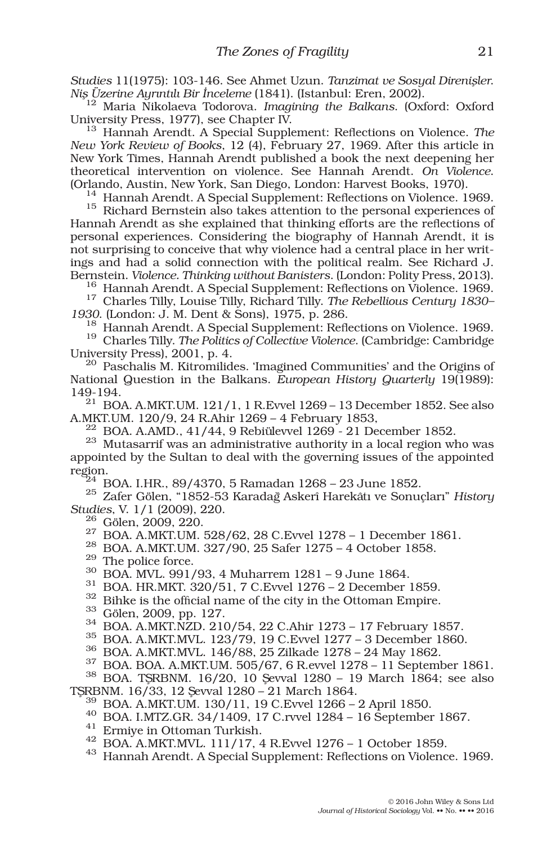Studies 11(1975): 103-146. See Ahmet Uzun. *Tanzimat ve Sosyal Direnişler.*<br>Niş Üzerine Ayrıntılı Bir İnceleme (1841). (Istanbul: Eren, 2002).

<sup>12</sup> Maria Nikolaeva Todorova. *Imagining the Balkans.* (Oxford: Oxford University Press, 1977), see Chapter IV.

 $^{13}$  Hannah Arendt. A Special Supplement: Reflections on Violence. The New York Review of Books, 12 (4), February 27, 1969. After this article in New York Times, Hannah Arendt published a book the next deepening her theoretical intervention on violence. See Hannah Arendt. On Violence.<br>(Orlando, Austin, New York, San Diego, London: Harvest Books, 1970).

<sup>14</sup> Hannah Arendt. A Special Supplement: Reflections on Violence. 1969.<br><sup>15</sup> Richard Bernstein also takes attention to the personal experiences of

Hannah Arendt as she explained that thinking efforts are the reflections of personal experiences. Considering the biography of Hannah Arendt, it is not surprising to conceive that why violence had a central place in her writings and had a solid connection with the political realm. See Richard J. Bernstein. Violence. Thinking without Banisters. (London: Polity Press, 2013).

<sup>16</sup> Hannah Arendt. A Special Supplement: Reflections on Violence. 1969.<br><sup>17</sup> Charles Tilly, Louise Tilly, Richard Tilly. *The Rebellious Century 1830–1930*. (London: J. M. Dent & Sons), 1975, p. 286.

<sup>18</sup> Hannah Arendt. A Special Supplement: Reflections on Violence. 1969. 1969. 19 Charles Tilly. *The Politics of Collective Violence*. (Cambridge: Cambridge University Press), 2001, p. 4.

<sup>20</sup> Paschalis M. Kitromilides. 'Imagined Communities' and the Origins of National Question in the Balkans. European History Quarterly 19(1989): 149-194.

<sup>21</sup> BOA. A.MKT.UM. 121/1, 1 R.Evvel 1269 – 13 December 1852. See also<br>A.MKT.UM. 120/9, 24 R.Ahir 1269 – 4 February 1853,

<sup>22</sup> BOA. A.AMD., 41/44, 9 Rebiülevvel 1269 - 21 December 1852.<br><sup>23</sup> Mutasarrif was an administrative authority in a local region who was appointed by the Sultan to deal with the governing issues of the appointed

region. <sup>24</sup> BOA. I.HR., 89/4370, 5 Ramadan 1268 – 23 June 1852. <sup>25</sup> Zafer Gölen, "1852-53 Karada<sup>ğ</sup> Askerî Harekât<sup>ı</sup> ve Sonuçları" History

- 
- 

Studies, V. 1/1 (2009), 220.<br>
<sup>26</sup> Gölen, 2009, 220.<br>
<sup>27</sup> BOA. A.MKT.UM. 528/62, 28 C.Evvel 1278 – 1 December 1861.<br>
<sup>28</sup> BOA. A.MKT.UM. 327/90, 25 Safer 1275 – 4 October 1858.<br>
<sup>28</sup> BOA. MVL. 991/93, 4 Muharrem 1281 – 9 TSRBNM. 16/33, 12 Şevval 1280 – 21 March 1864.<br>  $^{39}$  BOA. A.MKT.UM. 130/11, 19 C.Evvel 1266 – 2 April 1850.<br>  $^{40}$  BOA. I.MTZ.GR. 34/1409, 17 C.rvvel 1284 – 16 September 1867.<br>  $^{41}$  Ermiye in Ottoman Turkish.<br>  $^{42}$ 

- 
- 
- 
- 
-